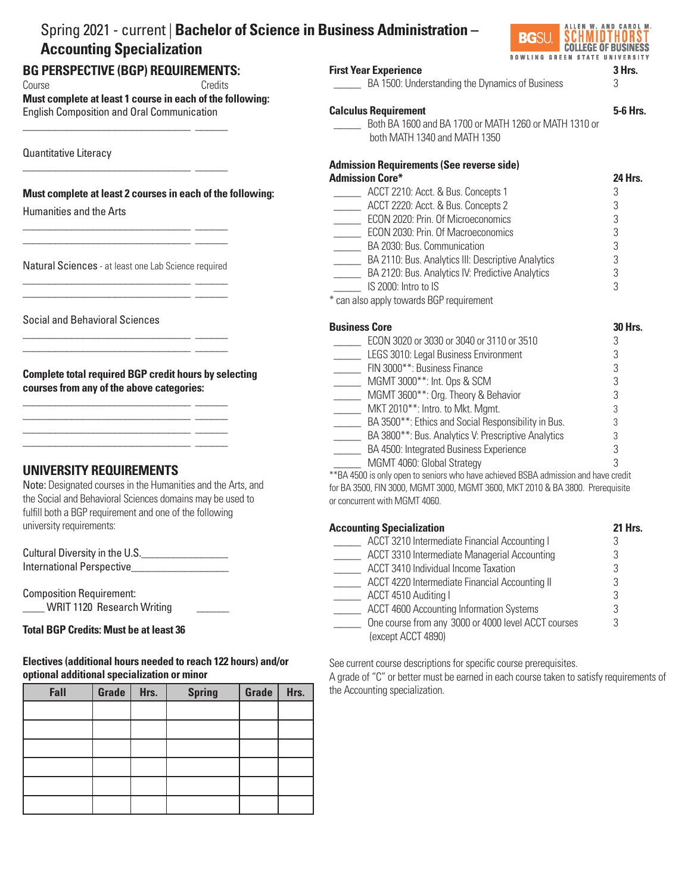#### Spring 2021 - current | **Bachelor of Science in Business Administration – BG**SU SCHMIDTHORS **Accounting Specialization COLLEGE OF BUSINESS BOWLING GREEN STATE UNIVERSITY BG PERSPECTIVE (BGP) REQUIREMENTS: First Year Experience** 3 Hrs. \_\_\_\_\_ BA 1500: Understanding the Dynamics of Business 3 Course Credits **Must complete at least 1 course in each of the following:**  English Composition and Oral Communication **Calculus Requirement 5-6 Hrs.** \_\_\_\_\_ Both BA 1600 and BA 1700 or MATH 1260 or MATH 1310 or \_\_\_\_\_\_\_\_\_\_\_\_\_\_\_\_\_\_\_\_\_\_\_\_\_\_\_\_\_\_\_ \_\_\_\_\_\_ both MATH 1340 and MATH 1350 Quantitative Literacy **Admission Requirements (See reverse side)** \_\_\_\_\_\_\_\_\_\_\_\_\_\_\_\_\_\_\_\_\_\_\_\_\_\_\_\_\_\_\_ \_\_\_\_\_\_ **Admission Core\* 24 Hrs.** \_\_\_\_\_\_\_ ACCT 2210: Acct. & Bus. Concepts 1 3<br>ACCT 2220: Acct. & Bus. Concepts 2 3 3 **Must complete at least 2 courses in each of the following:** ACCT 2220: Acct. & Bus. Concepts 2 Humanities and the Arts \_\_\_\_\_ ECON 2020: Prin. Of Microeconomics 3 \_\_\_\_\_\_\_\_\_\_\_\_\_\_\_\_\_\_\_\_\_\_\_\_\_\_\_\_\_\_\_ \_\_\_\_\_\_ ECON 2030: Prin. Of Macroeconomics 3 \_\_\_\_\_\_\_\_\_\_\_\_\_\_\_\_\_\_\_\_\_\_\_\_\_\_\_\_\_\_\_ \_\_\_\_\_\_ BA 2030: Bus. Communication 3 EXTERN 20110: Bus. Analytics III: Descriptive Analytics 3<br>BA 2120: Bus. Analytics IV: Predictive Analytics 3 Natural Sciences - at least one Lab Science required **EXECUTE:** BA 2120: Bus. Analytics IV: Predictive Analytics \_\_\_\_\_\_\_\_\_\_\_\_\_\_\_\_\_\_\_\_\_\_\_\_\_\_\_\_\_\_\_ \_\_\_\_\_\_  $\blacksquare$  IS 2000: Intro to IS  $\blacksquare$ \_\_\_\_\_\_\_\_\_\_\_\_\_\_\_\_\_\_\_\_\_\_\_\_\_\_\_\_\_\_\_ \_\_\_\_\_\_ \* can also apply towards BGP requirement Social and Behavioral Sciences **Business Core** 30 Hrs. \_\_\_\_\_\_\_\_\_\_\_\_\_\_\_\_\_\_\_\_\_\_\_\_\_\_\_\_\_\_\_ \_\_\_\_\_\_ ECON 3020 or 3030 or 3040 or 3110 or 3510<br>LEGS 3010: Legal Business Environment 3 \_\_\_\_\_\_\_\_\_\_\_\_\_\_\_\_\_\_\_\_\_\_\_\_\_\_\_\_\_\_\_ \_\_\_\_\_\_ LEGS 3010: Legal Business Environment The Summer School States Finance 3 and MGMT 3000\*\*: Business Finance 3 3 3 3 **Complete total required BGP credit hours by selecting**  \_\_\_\_\_\_ MGMT 3000\*\*: Int. Ops & SCM **courses from any of the above categories:** \_\_\_\_\_ MGMT 3600\*\*: Org. Theory & Behavior 3 \_\_\_\_\_\_\_\_\_\_\_\_\_\_\_\_\_\_\_\_\_\_\_\_\_\_\_\_\_\_\_ \_\_\_\_\_\_ MKT 2010<sup>\*\*</sup>: Intro. to Mkt. Mgmt. 3  $\frac{1}{2}$  ,  $\frac{1}{2}$  ,  $\frac{1}{2}$  ,  $\frac{1}{2}$  ,  $\frac{1}{2}$  ,  $\frac{1}{2}$  ,  $\frac{1}{2}$  ,  $\frac{1}{2}$  ,  $\frac{1}{2}$  ,  $\frac{1}{2}$  ,  $\frac{1}{2}$  ,  $\frac{1}{2}$  ,  $\frac{1}{2}$  ,  $\frac{1}{2}$  ,  $\frac{1}{2}$  ,  $\frac{1}{2}$  ,  $\frac{1}{2}$  ,  $\frac{1}{2}$  ,  $\frac{1$ BA 3500\*\*: Ethics and Social Responsibility in Bus. 3 \_\_\_\_\_\_\_\_\_\_\_\_\_\_\_\_\_\_\_\_\_\_\_\_\_\_\_\_\_\_\_ \_\_\_\_\_\_ EXTERD BA 3800\*\*: Bus. Analytics V: Prescriptive Analytics 3<br>BA 4500: Integrated Business Experience \_\_\_\_\_\_\_\_\_\_\_\_\_\_\_\_\_\_\_\_\_\_\_\_\_\_\_\_\_\_\_ \_\_\_\_\_\_ BA 4500: Integrated Business Experience \_\_\_\_\_ MGMT 4060: Global Strategy 3 **UNIVERSITY REQUIREMENTS**  \*\*BA 4500 is only open to seniors who have achieved BSBA admission and have credit Note: Designated courses in the Humanities and the Arts, and for BA 3500, FIN 3000, MGMT 3000, MGMT 3600, MKT 2010 & BA 3800. Prerequisite the Social and Behavioral Sciences domains may be used to or concurrent with MGMT 4060. fulfill both a BGP requirement and one of the following university requirements: **Accounting Specialization 21 Hrs.** ACCT 3210 Intermediate Financial Accounting I 3 Cultural Diversity in the U.S. \_\_\_\_\_ ACCT 3310 Intermediate Managerial Accounting 3 International Perspective \_\_\_\_\_ ACCT 3410 Individual Income Taxation 3 \_\_\_\_\_ ACCT 4220 Intermediate Financial Accounting II 3 Composition Requirement: \_\_\_\_\_ ACCT 4510 Auditing I 3 WRIT 1120 Research Writing \_\_\_\_\_ ACCT 4600 Accounting Information Systems 3  $\overline{a}$  \_\_\_\_\_ One course from any 3000 or 4000 level ACCT courses 3 **Total BGP Credits: Must be at least 36** (except ACCT 4890)

**Electives (additional hours needed to reach 122 hours) and/or optional additional specialization or minor**

| Fall | Grade | Hrs. | <b>Spring</b> | Grade | Hrs. |
|------|-------|------|---------------|-------|------|
|      |       |      |               |       |      |
|      |       |      |               |       |      |
|      |       |      |               |       |      |
|      |       |      |               |       |      |
|      |       |      |               |       |      |
|      |       |      |               |       |      |

See current course descriptions for specific course prerequisites.

A grade of "C" or better must be earned in each course taken to satisfy requirements of the Accounting specialization.